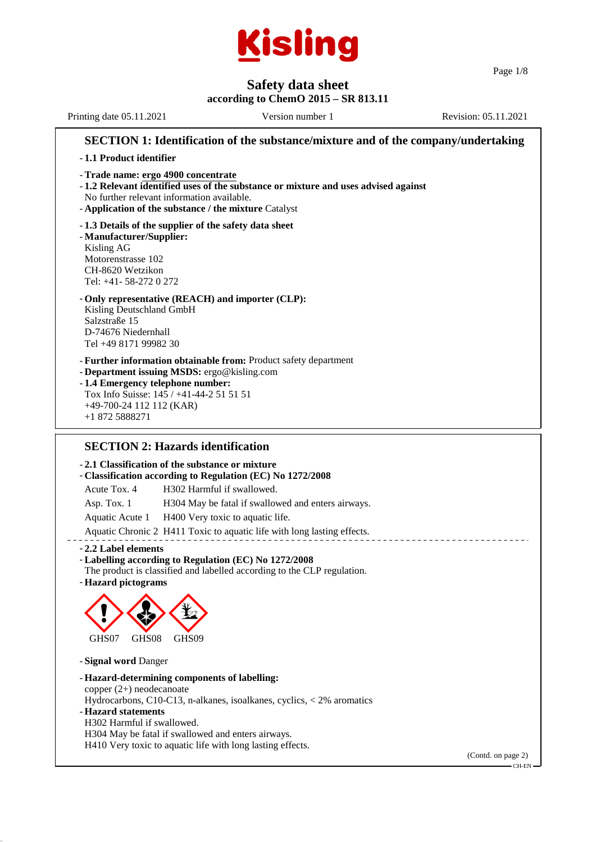

Page 1/8

**Safety data sheet according to ChemO 2015 – SR 813.11** Printing date 05.11.2021 Version number 1 Revision: 05.11.2021 **SECTION 1: Identification of the substance/mixture and of the company/undertaking** - **1.1 Product identifier** - **Trade name: ergo 4900 concentrate** - **1.2 Relevant identified uses of the substance or mixture and uses advised against** No further relevant information available. - **Application of the substance / the mixture** Catalyst - **1.3 Details of the supplier of the safety data sheet** - **Manufacturer/Supplier:** Kisling AG Motorenstrasse 102 CH-8620 Wetzikon Tel: +41- 58-272 0 272 - **Only representative (REACH) and importer (CLP):** Kisling Deutschland GmbH Salzstraße 15 D-74676 Niedernhall Tel +49 8171 99982 30 - **Further information obtainable from:** Product safety department - **Department issuing MSDS:** ergo@kisling.com - **1.4 Emergency telephone number:** Tox Info Suisse: 145 / +41-44-2 51 51 51 +49-700-24 112 112 (KAR) +1 872 5888271 **SECTION 2: Hazards identification** - **2.1 Classification of the substance or mixture** - **Classification according to Regulation (EC) No 1272/2008** Acute Tox. 4 H302 Harmful if swallowed. Asp. Tox. 1 H304 May be fatal if swallowed and enters airways. Aquatic Acute 1 H400 Very toxic to aquatic life.

Aquatic Chronic 2 H411 Toxic to aquatic life with long lasting effects.

- **2.2 Label elements**

- **Labelling according to Regulation (EC) No 1272/2008** The product is classified and labelled according to the CLP regulation.
- **Hazard pictograms**



- **Signal word** Danger
- **Hazard-determining components of labelling:** copper (2+) neodecanoate Hydrocarbons, C10-C13, n-alkanes, isoalkanes, cyclics, < 2% aromatics - **Hazard statements** H302 Harmful if swallowed. H304 May be fatal if swallowed and enters airways. H410 Very toxic to aquatic life with long lasting effects.

(Contd. on page 2) CH-EN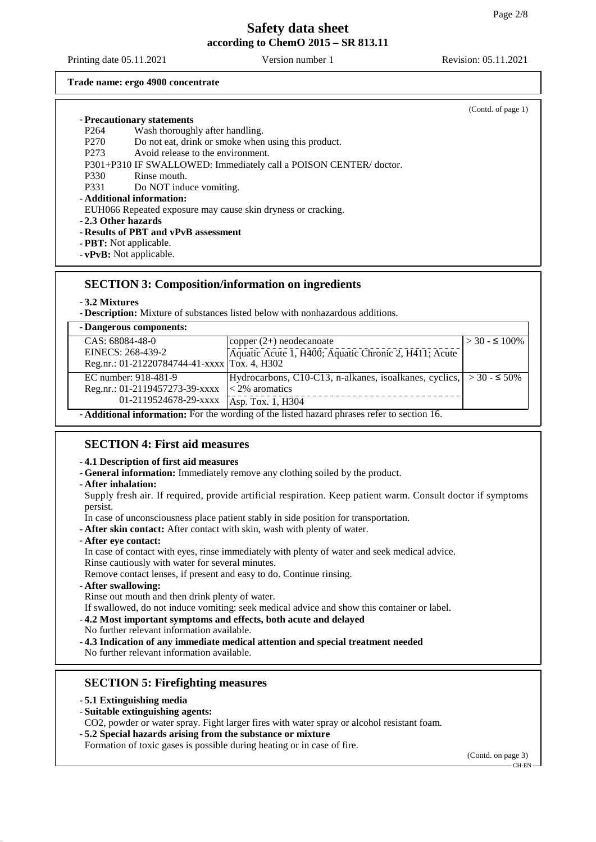Printing date 05.11.2021 Version number 1 Revision: 05.11.2021

#### **Trade name: ergo 4900 concentrate**

|                                                                         | (Contd. of page $1$ ) |
|-------------------------------------------------------------------------|-----------------------|
| - Precautionary statements                                              |                       |
| Wash thoroughly after handling.<br>P <sub>264</sub>                     |                       |
| Do not eat, drink or smoke when using this product.<br>P <sub>270</sub> |                       |
| Avoid release to the environment.<br>P <sub>273</sub>                   |                       |
| P301+P310 IF SWALLOWED: Immediately call a POISON CENTER/doctor.        |                       |
| Rinse mouth.<br>P330                                                    |                       |
| P331<br>Do NOT induce vomiting.                                         |                       |
| - Additional information:                                               |                       |
| EUH066 Repeated exposure may cause skin dryness or cracking.            |                       |
| - 2.3 Other hazards                                                     |                       |
| - Results of PBT and vPvB assessment                                    |                       |
| - <b>PBT</b> : Not applicable.                                          |                       |
| $-$ <b>vPvB</b> : Not applicable.                                       |                       |

## **SECTION 3: Composition/information on ingredients**

- **3.2 Mixtures**

- **Description:** Mixture of substances listed below with nonhazardous additions.

| - Dangerous components:                                                                            |                                                                        |                      |
|----------------------------------------------------------------------------------------------------|------------------------------------------------------------------------|----------------------|
| CAS: 68084-48-0                                                                                    | copper $(2+)$ neodecanoate                                             | $>$ 30 - $\leq$ 100% |
| EINECS: 268-439-2                                                                                  | Aquatic Acute 1, H400; Aquatic Chronic 2, H411; Acute                  |                      |
| Reg.nr.: 01-21220784744-41-xxxx Tox. 4, H302                                                       |                                                                        |                      |
| EC number: 918-481-9                                                                               | Hydrocarbons, C10-C13, n-alkanes, isoalkanes, cyclics, $  > 30 - 50\%$ |                      |
| Reg.nr.: 01-2119457273-39-xxxx                                                                     | $\leq$ 2% aromatics                                                    |                      |
| 01-2119524678-29-xxxx                                                                              | Asp. Tox. 1, H304                                                      |                      |
| - <b>Additional information:</b> For the wording of the listed hazard phrases refer to section 16. |                                                                        |                      |

## **SECTION 4: First aid measures**

### - **4.1 Description of first aid measures**

- **General information:** Immediately remove any clothing soiled by the product.
- **After inhalation:**

Supply fresh air. If required, provide artificial respiration. Keep patient warm. Consult doctor if symptoms persist.

In case of unconsciousness place patient stably in side position for transportation.

- **After skin contact:** After contact with skin, wash with plenty of water.
- **After eye contact:**

In case of contact with eyes, rinse immediately with plenty of water and seek medical advice. Rinse cautiously with water for several minutes.

Remove contact lenses, if present and easy to do. Continue rinsing.

- **After swallowing:**

Rinse out mouth and then drink plenty of water.

If swallowed, do not induce vomiting: seek medical advice and show this container or label.

- **4.2 Most important symptoms and effects, both acute and delayed** No further relevant information available.

- **4.3 Indication of any immediate medical attention and special treatment needed**

No further relevant information available.

## **SECTION 5: Firefighting measures**

- **5.1 Extinguishing media**
- **Suitable extinguishing agents:**

CO2, powder or water spray. Fight larger fires with water spray or alcohol resistant foam.

- **5.2 Special hazards arising from the substance or mixture**

Formation of toxic gases is possible during heating or in case of fire.

(Contd. on page 3) CH-EN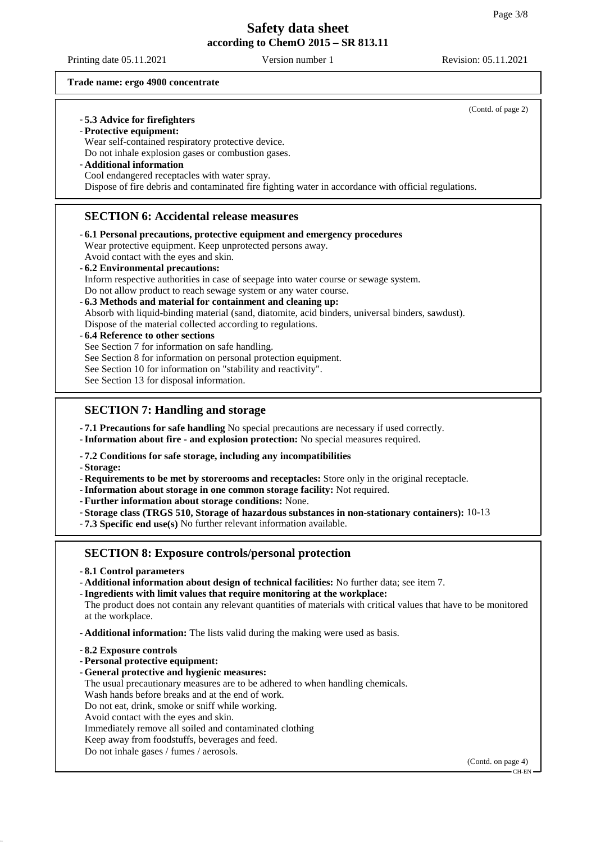Printing date 05.11.2021 Version number 1 Revision: 05.11.2021

(Contd. of page 2)

#### **Trade name: ergo 4900 concentrate**

### - **5.3 Advice for firefighters**

- **Protective equipment:**

Wear self-contained respiratory protective device.

Do not inhale explosion gases or combustion gases.

- **Additional information**

Cool endangered receptacles with water spray.

Dispose of fire debris and contaminated fire fighting water in accordance with official regulations.

### **SECTION 6: Accidental release measures**

- **6.1 Personal precautions, protective equipment and emergency procedures** Wear protective equipment. Keep unprotected persons away. Avoid contact with the eyes and skin.
- **6.2 Environmental precautions:** Inform respective authorities in case of seepage into water course or sewage system. Do not allow product to reach sewage system or any water course.
- **6.3 Methods and material for containment and cleaning up:**
- Absorb with liquid-binding material (sand, diatomite, acid binders, universal binders, sawdust). Dispose of the material collected according to regulations.

### - **6.4 Reference to other sections**

See Section 7 for information on safe handling.

See Section 8 for information on personal protection equipment.

- See Section 10 for information on "stability and reactivity".
- See Section 13 for disposal information.

## **SECTION 7: Handling and storage**

- **7.1 Precautions for safe handling** No special precautions are necessary if used correctly.
- **Information about fire and explosion protection:** No special measures required.

### - **7.2 Conditions for safe storage, including any incompatibilities**

- **Storage:**

- **Requirements to be met by storerooms and receptacles:** Store only in the original receptacle.

- **Information about storage in one common storage facility:** Not required.
- **Further information about storage conditions:** None.
- **Storage class (TRGS 510, Storage of hazardous substances in non-stationary containers):** 10-13
- **7.3 Specific end use(s)** No further relevant information available.

## **SECTION 8: Exposure controls/personal protection**

- **8.1 Control parameters**
- **Additional information about design of technical facilities:** No further data; see item 7.
- **Ingredients with limit values that require monitoring at the workplace:**

The product does not contain any relevant quantities of materials with critical values that have to be monitored at the workplace.

- **Additional information:** The lists valid during the making were used as basis.
- **8.2 Exposure controls**
- **Personal protective equipment:**
- **General protective and hygienic measures:** The usual precautionary measures are to be adhered to when handling chemicals. Wash hands before breaks and at the end of work. Do not eat, drink, smoke or sniff while working. Avoid contact with the eyes and skin.
- 
- Immediately remove all soiled and contaminated clothing
- Keep away from foodstuffs, beverages and feed.
- Do not inhale gases / fumes / aerosols.

(Contd. on page 4)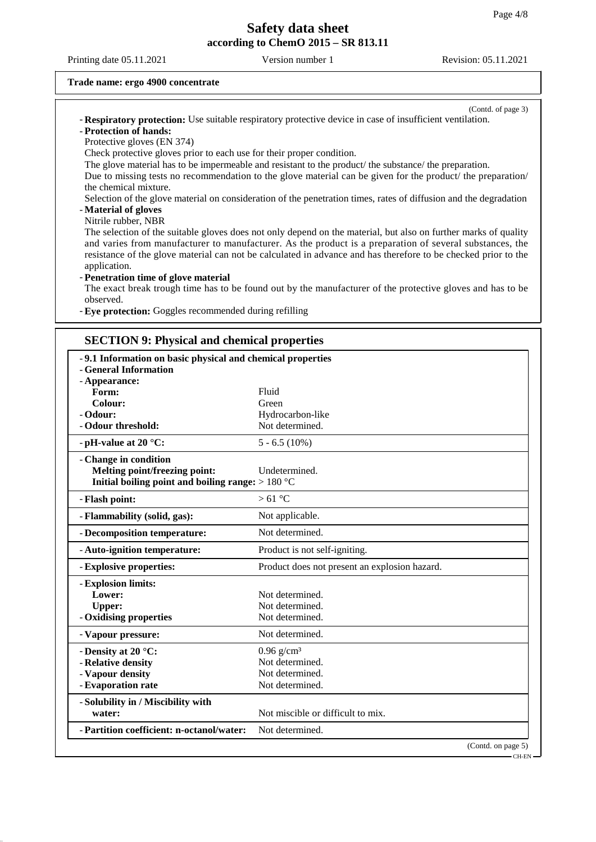Printing date 05.11.2021 Version number 1 Revision: 05.11.2021

(Contd. of page 3)

#### **Trade name: ergo 4900 concentrate**

- **Respiratory protection:** Use suitable respiratory protective device in case of insufficient ventilation. - **Protection of hands:**

Protective gloves (EN 374)

Check protective gloves prior to each use for their proper condition.

The glove material has to be impermeable and resistant to the product/ the substance/ the preparation.

Due to missing tests no recommendation to the glove material can be given for the product/ the preparation/ the chemical mixture.

Selection of the glove material on consideration of the penetration times, rates of diffusion and the degradation - **Material of gloves**

#### Nitrile rubber, NBR

The selection of the suitable gloves does not only depend on the material, but also on further marks of quality and varies from manufacturer to manufacturer. As the product is a preparation of several substances, the resistance of the glove material can not be calculated in advance and has therefore to be checked prior to the application.

#### - **Penetration time of glove material**

The exact break trough time has to be found out by the manufacturer of the protective gloves and has to be observed.

- **Eye protection:** Goggles recommended during refilling

### **SECTION 9: Physical and chemical properties**

| -9.1 Information on basic physical and chemical properties |                                               |  |
|------------------------------------------------------------|-----------------------------------------------|--|
| - General Information                                      |                                               |  |
| - Appearance:                                              |                                               |  |
| Form:                                                      | Fluid                                         |  |
| Colour:                                                    | Green                                         |  |
| - Odour:                                                   | Hydrocarbon-like                              |  |
| - Odour threshold:                                         | Not determined.                               |  |
| - pH-value at 20 $^{\circ}$ C:                             | $5 - 6.5(10\%)$                               |  |
| - Change in condition                                      |                                               |  |
| Melting point/freezing point:                              | Undetermined.                                 |  |
| Initial boiling point and boiling range: $>180 °C$         |                                               |  |
| - Flash point:                                             | $>61^{\circ}$ C                               |  |
| - Flammability (solid, gas):                               | Not applicable.                               |  |
| - Decomposition temperature:                               | Not determined.                               |  |
| - Auto-ignition temperature:                               | Product is not self-igniting.                 |  |
| - Explosive properties:                                    | Product does not present an explosion hazard. |  |
| - Explosion limits:                                        |                                               |  |
| Lower:                                                     | Not determined.                               |  |
| <b>Upper:</b>                                              | Not determined.                               |  |
| - Oxidising properties                                     | Not determined.                               |  |
| - Vapour pressure:                                         | Not determined.                               |  |
| - Density at 20 °C:                                        | $0.96$ g/cm <sup>3</sup>                      |  |
| - Relative density                                         | Not determined.                               |  |
| - Vapour density                                           | Not determined.                               |  |
| - Evaporation rate                                         | Not determined.                               |  |
| - Solubility in / Miscibility with                         |                                               |  |
| water:                                                     | Not miscible or difficult to mix.             |  |
| - Partition coefficient: n-octanol/water:                  | Not determined.                               |  |
|                                                            | (Contd. on page 5)                            |  |

CH-EN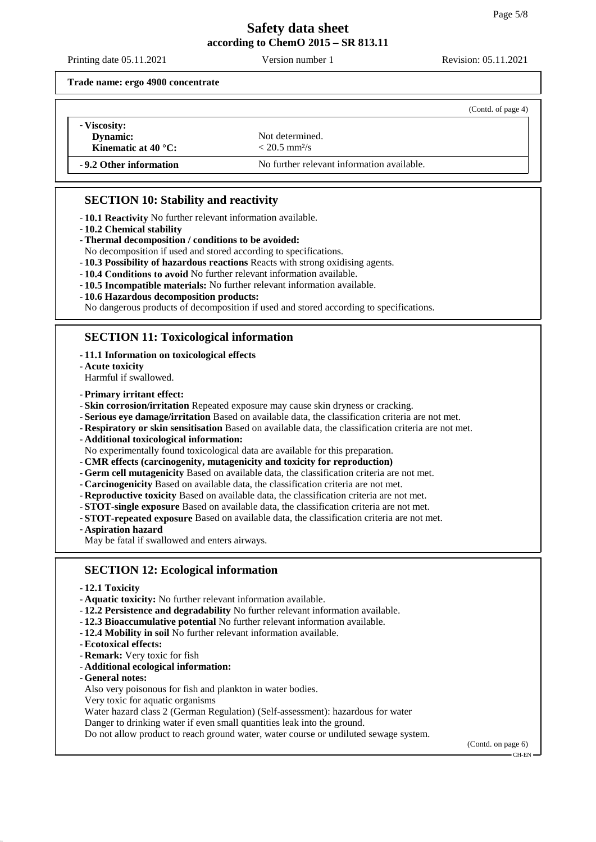Printing date 05.11.2021 Version number 1 Revision: 05.11.2021

**Trade name: ergo 4900 concentrate**

|                                                           |                                                | (Contd. of page 4) |
|-----------------------------------------------------------|------------------------------------------------|--------------------|
| - Viscosity:<br>Dynamic:<br>Kinematic at 40 $^{\circ}$ C: | Not determined.<br>$< 20.5$ mm <sup>2</sup> /s |                    |
| -9.2 Other information                                    | No further relevant information available.     |                    |

## **SECTION 10: Stability and reactivity**

- **10.1 Reactivity** No further relevant information available.

- **10.2 Chemical stability**
- **Thermal decomposition / conditions to be avoided:**

No decomposition if used and stored according to specifications.

- **10.3 Possibility of hazardous reactions** Reacts with strong oxidising agents.

- **10.4 Conditions to avoid** No further relevant information available.
- **10.5 Incompatible materials:** No further relevant information available.
- **10.6 Hazardous decomposition products:**

No dangerous products of decomposition if used and stored according to specifications.

## **SECTION 11: Toxicological information**

- **11.1 Information on toxicological effects**
- **Acute toxicity**

Harmful if swallowed.

- **Primary irritant effect:**

- **Skin corrosion/irritation** Repeated exposure may cause skin dryness or cracking.
- **Serious eye damage/irritation** Based on available data, the classification criteria are not met.
- **Respiratory or skin sensitisation** Based on available data, the classification criteria are not met.

- **Additional toxicological information:**

- No experimentally found toxicological data are available for this preparation.
- **CMR effects (carcinogenity, mutagenicity and toxicity for reproduction)**
- **Germ cell mutagenicity** Based on available data, the classification criteria are not met.
- **Carcinogenicity** Based on available data, the classification criteria are not met.
- **Reproductive toxicity** Based on available data, the classification criteria are not met.
- **STOT-single exposure** Based on available data, the classification criteria are not met.
- **STOT-repeated exposure** Based on available data, the classification criteria are not met.
- **Aspiration hazard**
- May be fatal if swallowed and enters airways.

## **SECTION 12: Ecological information**

- **12.1 Toxicity**
- **Aquatic toxicity:** No further relevant information available.
- **12.2 Persistence and degradability** No further relevant information available.
- **12.3 Bioaccumulative potential** No further relevant information available.
- **12.4 Mobility in soil** No further relevant information available.
- **Ecotoxical effects:**
- **Remark:** Very toxic for fish
- **Additional ecological information:**
- **General notes:**

Also very poisonous for fish and plankton in water bodies.

Very toxic for aquatic organisms

Water hazard class 2 (German Regulation) (Self-assessment): hazardous for water

Danger to drinking water if even small quantities leak into the ground.

Do not allow product to reach ground water, water course or undiluted sewage system.

(Contd. on page 6) CH-EN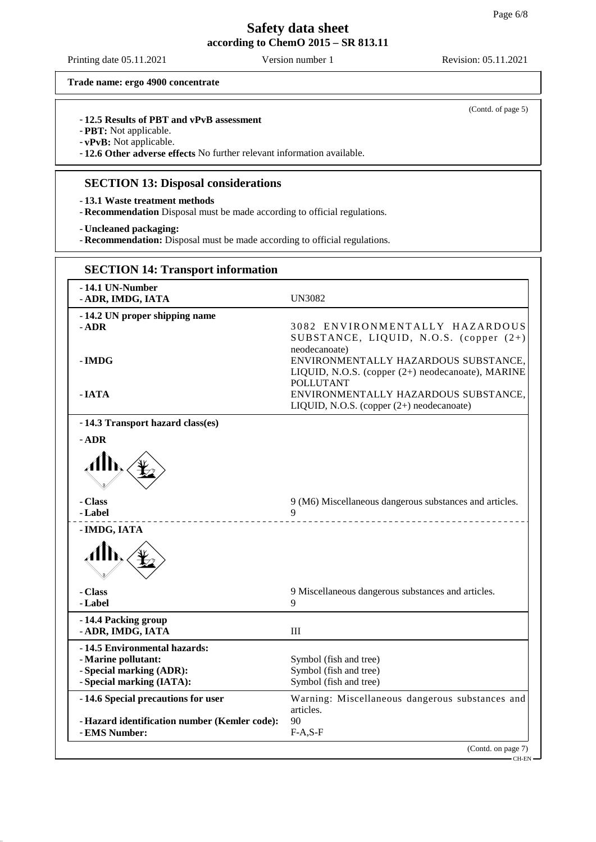Printing date 05.11.2021 Version number 1 Revision: 05.11.2021

(Contd. of page 5)

**Trade name: ergo 4900 concentrate**

### - **12.5 Results of PBT and vPvB assessment**

- **PBT:** Not applicable.

- **vPvB:** Not applicable.

- **12.6 Other adverse effects** No further relevant information available.

### **SECTION 13: Disposal considerations**

- **13.1 Waste treatment methods**

- **Recommendation** Disposal must be made according to official regulations.

- **Uncleaned packaging:**

- **Recommendation:** Disposal must be made according to official regulations.

| <b>SECTION 14: Transport information</b>                       |                                                                                                                                |
|----------------------------------------------------------------|--------------------------------------------------------------------------------------------------------------------------------|
| -14.1 UN-Number<br>- ADR, IMDG, IATA                           | UN3082                                                                                                                         |
| -14.2 UN proper shipping name<br>$-$ ADR                       | 3082 ENVIRONMENTALLY HAZARDOUS<br>SUBSTANCE, LIQUID, N.O.S. (copper (2+)                                                       |
| - IMDG                                                         | neodecanoate)<br>ENVIRONMENTALLY HAZARDOUS SUBSTANCE,<br>LIQUID, N.O.S. (copper (2+) neodecanoate), MARINE<br><b>POLLUTANT</b> |
| - IATA                                                         | ENVIRONMENTALLY HAZARDOUS SUBSTANCE.<br>LIQUID, N.O.S. (copper $(2+)$ neodecanoate)                                            |
| -14.3 Transport hazard class(es)                               |                                                                                                                                |
| - ADR                                                          |                                                                                                                                |
|                                                                |                                                                                                                                |
| - Class<br>- Label                                             | 9 (M6) Miscellaneous dangerous substances and articles.<br>$\mathbf Q$<br>__________________                                   |
| - IMDG, IATA                                                   |                                                                                                                                |
| $\mathcal{A}$                                                  |                                                                                                                                |
| - Class<br>- Label                                             | 9 Miscellaneous dangerous substances and articles.<br>Q                                                                        |
| -14.4 Packing group<br>- ADR, IMDG, IATA                       | Ш                                                                                                                              |
| -14.5 Environmental hazards:                                   |                                                                                                                                |
| - Marine pollutant:<br>- Special marking (ADR):                | Symbol (fish and tree)<br>Symbol (fish and tree)                                                                               |
| - Special marking (IATA):                                      | Symbol (fish and tree)                                                                                                         |
| -14.6 Special precautions for user                             | Warning: Miscellaneous dangerous substances and<br>articles.                                                                   |
| - Hazard identification number (Kemler code):<br>- EMS Number: | 90<br>$F-A, S-F$                                                                                                               |
|                                                                | (Contd. on page 7)                                                                                                             |
|                                                                | - CH-EN                                                                                                                        |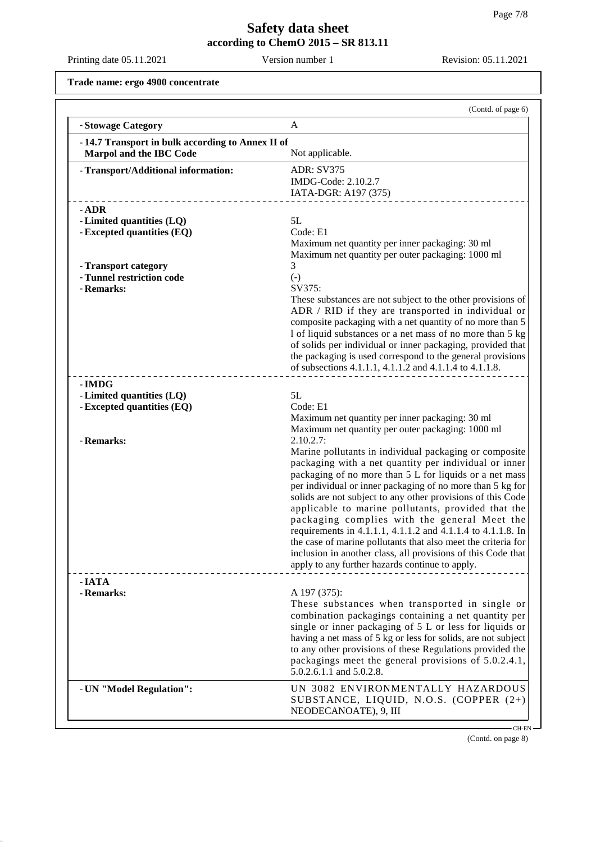Printing date 05.11.2021 Version number 1 Revision: 05.11.2021

**Trade name: ergo 4900 concentrate**

|                                                                                                                                       | (Contd. of page 6)                                                                                                                                                                                                                                                                                                                                                                                                                                                                                                                                                                                                                                                                                                                                                                                |
|---------------------------------------------------------------------------------------------------------------------------------------|---------------------------------------------------------------------------------------------------------------------------------------------------------------------------------------------------------------------------------------------------------------------------------------------------------------------------------------------------------------------------------------------------------------------------------------------------------------------------------------------------------------------------------------------------------------------------------------------------------------------------------------------------------------------------------------------------------------------------------------------------------------------------------------------------|
| - Stowage Category                                                                                                                    | A                                                                                                                                                                                                                                                                                                                                                                                                                                                                                                                                                                                                                                                                                                                                                                                                 |
| -14.7 Transport in bulk according to Annex II of<br>Marpol and the IBC Code<br>Not applicable.                                        |                                                                                                                                                                                                                                                                                                                                                                                                                                                                                                                                                                                                                                                                                                                                                                                                   |
| - Transport/Additional information:                                                                                                   | <b>ADR: SV375</b><br>IMDG-Code: 2.10.2.7<br>IATA-DGR: A197 (375)                                                                                                                                                                                                                                                                                                                                                                                                                                                                                                                                                                                                                                                                                                                                  |
| $-$ ADR<br>- Limited quantities (LQ)<br>- Excepted quantities (EQ)<br>- Transport category<br>- Tunnel restriction code<br>- Remarks: | 5L<br>Code: E1<br>Maximum net quantity per inner packaging: 30 ml<br>Maximum net quantity per outer packaging: 1000 ml<br>3<br>$(-)$<br>SV375:<br>These substances are not subject to the other provisions of<br>ADR / RID if they are transported in individual or<br>composite packaging with a net quantity of no more than 5<br>1 of liquid substances or a net mass of no more than 5 kg<br>of solids per individual or inner packaging, provided that                                                                                                                                                                                                                                                                                                                                       |
| - IMDG<br>- Limited quantities (LQ)                                                                                                   | the packaging is used correspond to the general provisions<br>of subsections 4.1.1.1, 4.1.1.2 and 4.1.1.4 to 4.1.1.8.<br>5L                                                                                                                                                                                                                                                                                                                                                                                                                                                                                                                                                                                                                                                                       |
| - Excepted quantities (EQ)<br>- Remarks:                                                                                              | Code: E1<br>Maximum net quantity per inner packaging: 30 ml<br>Maximum net quantity per outer packaging: 1000 ml<br>2.10.2.7:<br>Marine pollutants in individual packaging or composite<br>packaging with a net quantity per individual or inner<br>packaging of no more than 5 L for liquids or a net mass<br>per individual or inner packaging of no more than 5 kg for<br>solids are not subject to any other provisions of this Code<br>applicable to marine pollutants, provided that the<br>packaging complies with the general Meet the<br>requirements in 4.1.1.1, 4.1.1.2 and 4.1.1.4 to 4.1.1.8. In<br>the case of marine pollutants that also meet the criteria for<br>inclusion in another class, all provisions of this Code that<br>apply to any further hazards continue to apply. |
| - IATA<br>- Remarks:                                                                                                                  | A 197 (375):<br>These substances when transported in single or<br>combination packagings containing a net quantity per<br>single or inner packaging of 5 L or less for liquids or<br>having a net mass of 5 kg or less for solids, are not subject<br>to any other provisions of these Regulations provided the<br>packagings meet the general provisions of 5.0.2.4.1,<br>5.0.2.6.1.1 and 5.0.2.8.                                                                                                                                                                                                                                                                                                                                                                                               |
| - UN "Model Regulation":                                                                                                              | UN 3082 ENVIRONMENTALLY HAZARDOUS<br>SUBSTANCE, LIQUID, N.O.S. (COPPER (2+)<br>NEODECANOATE), 9, III                                                                                                                                                                                                                                                                                                                                                                                                                                                                                                                                                                                                                                                                                              |

(Contd. on page 8)